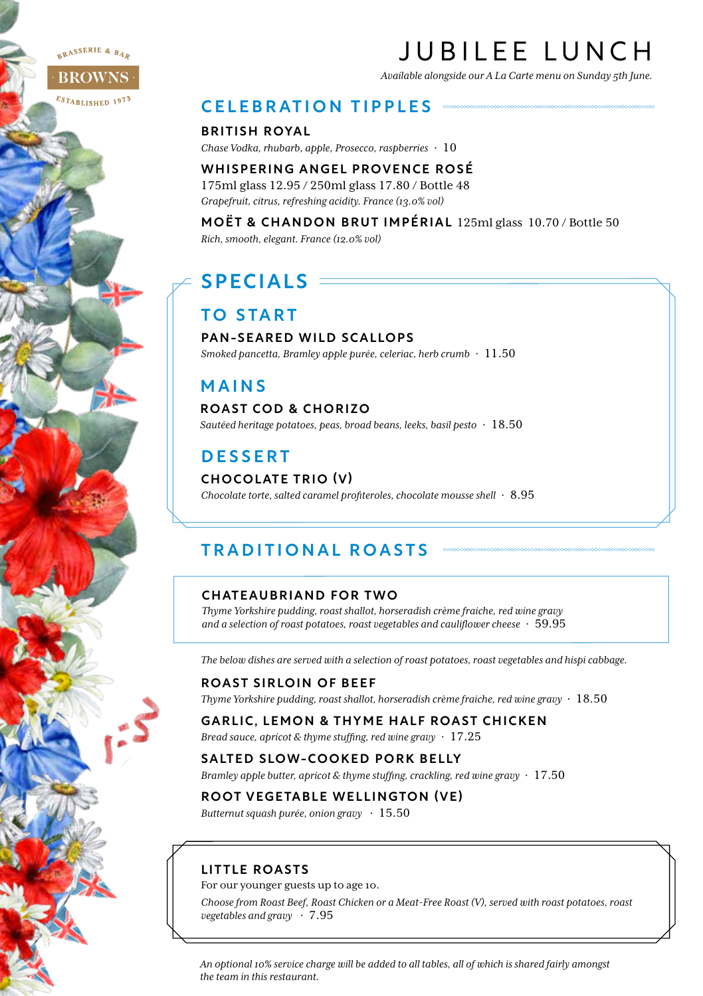RASSERIE & BAR

#### **BROWNS**

 $\varepsilon_{STABLISHED}$  1973

# JUBILEE LUNCH

*Available alongside our A La Carte menu on Sunday 5th June.*

### CELEBRATION TIPPLES

BRITISH ROYAL

*Chase Vodka, rhubarb, apple, Prosecco, raspberries* · 10

WHISPERING ANGEL PROVENCE ROSÉ 175ml glass 12.95 / 250ml glass 17.80 / Bottle 48 *Grapefruit, citrus, refreshing acidity. France (13.0% vol)* 

MOËT & CHANDON BRUT IMPÉRIAL 125ml glass 10.70 / Bottle 50 *Rich, smooth, elegant. France (12.0% vol)* 

# SPECIALS:

# TO START

#### PAN-SEARED WILD SCALLOPS

*Smoked pancetta, Bramley apple purée, celeriac, herb crumb* · 11.50

# MAINS

#### ROAST COD & CHORIZO

*Sautéed heritage potatoes, peas, broad beans, leeks, basil pesto* · 18.50

# DESSERT

#### CHOCOLATE TRIO (V)

*Chocolate torte, salted caramel profiteroles, chocolate mousse shell* · 8.95

# TRADITIONAL ROASTS

#### CHATEAUBRIAND FOR TWO

*Thyme Yorkshire pudding, roast shallot, horseradish crème fraiche, red wine gravy and a selection of roast potatoes, roast vegetables and cauliflower cheese* · 59.95

*The below dishes are served with a selection of roast potatoes, roast vegetables and hispi cabbage.*

#### ROAST SIRLOIN OF BEEF

*Thyme Yorkshire pudding, roast shallot, horseradish crème fraiche, red wine gravy* · 18.50

# GARLIC, LEMON & THYME HALF ROAST CHICKEN

*Bread sauce, apricot & thyme stuffing, red wine gravy* · 17.25

#### SALTED SLOW-COOKED PORK BELLY

*Bramley apple butter, apricot & thyme stuffing, crackling, red wine gravy* · 17.50

# ROOT VEGETABLE WELLINGTON (VE)

*Butternut squash purée, onion gravy* · 15.50

### LITTLE ROASTS

For our younger guests up to age 10.

*Choose from Roast Beef, Roast Chicken or a Meat-Free Roast (V), served with roast potatoes, roast vegetables and gravy* · 7.95

*An optional 10% service charge will be added to all tables, all of which is shared fairly amongst the team in this restaurant.*